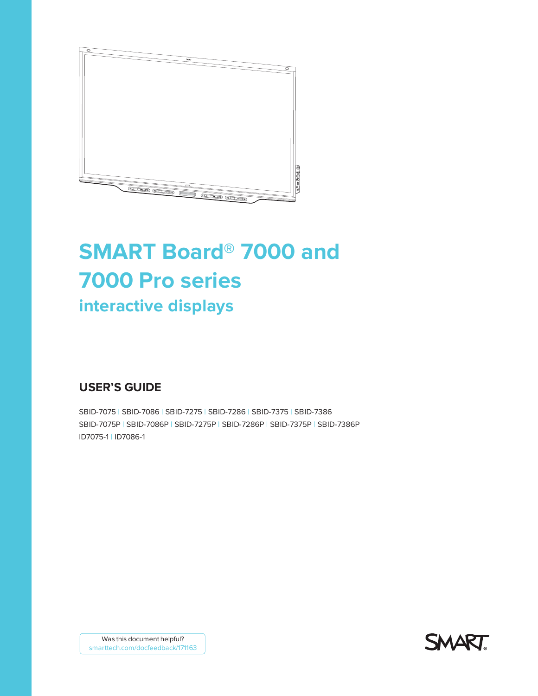

# **SMART Board® 7000 and 7000 Pro series interactive displays**

## **USER'S GUIDE**

SBID-7075 | SBID-7086 | SBID-7275 | SBID-7286 | SBID-7375 | SBID-7386 SBID-7075P | SBID-7086P | SBID-7275P | SBID-7286P | SBID-7375P | SBID-7386P ID7075-1 | ID7086-1



Was this document helpful? [smarttech.com/docfeedback/171163](http://www.smarttech.com/docfeedback/171163)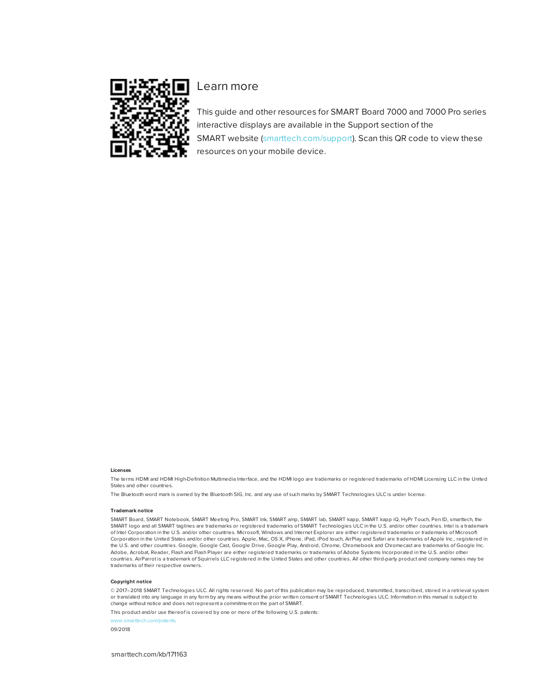

### Learn more

This guide and other resources for SMART Board 7000 and 7000 Pro series interactive displays are available in the Support section of the SMART website [\(smarttech.com/support](http://www.smarttech.com/support)). Scan this QR code to view these resources on your mobile device.

#### **Licenses**

The terms HDMI and HDMI High-Definition Multimedia Interface, and the HDMI logo are trademarks or registered trademarks of HDMI Licensing LLC in the United States and other countries.

The Bluetooth word mark is owned by the Bluetooth SIG, Inc. and any use of such marks by SMART Technologies ULC is under license.

#### **Trademark notice**

SMART Board, SMART Notebook, SMART Meeting Pro, SMART Ink, SMART amp, SMART lab, SMART kapp, SMART kapp iQ, HyPr Touch, Pen ID, smarttech, the SMART logo and all SMART taglines are trademarks or registered trademarks of SMART Technologies ULC in the U.S. and/or other countries. Intel is a trademark of Intel Corporation in the U.S. and/or other countries. Microsoft, Windows and Internet Explorer are either registered trademarks or trademarks of Microsoft Corporation in the United States and/or other countries. Apple, Mac, OS X, iPhone, iPad, iPod touch, AirPlay and Safari are trademarks of Apple Inc., registered in the U.S. and other countries. Google, Google Cast, Google Drive, Google Play, Android, Chrome, Chromebook and Chromecast are trademarks of Google Inc. Adobe, Acrobat, Reader, Flash and Flash Player are either registered trademarks or trademarks of Adobe Systems Incorporated in the U.S. and/or other countries. AirParrot is a trademark of Squirrels LLC registered in the United States and other countries. All other third-party product and company names may be trademarks of their respective owners.

#### **Copyright notice**

 $©$  2017–2018 SMART Technologies ULC. All rights reserved. No part of this publication may be reproduced, transmitted, transcribed, stored in a retrieval system or translated into any language in any form by any means without the prior written consent of SMART Technologies ULC. Information in this manual is subject to change without notice and does not represent a commitment on the part of SMART.

This product and/or use thereof is covered by one or more of the following U.S. patents:

ech.com/ 09/2018

[smarttech.com/kb/171163](http://www.smarttech.com/kb/171163)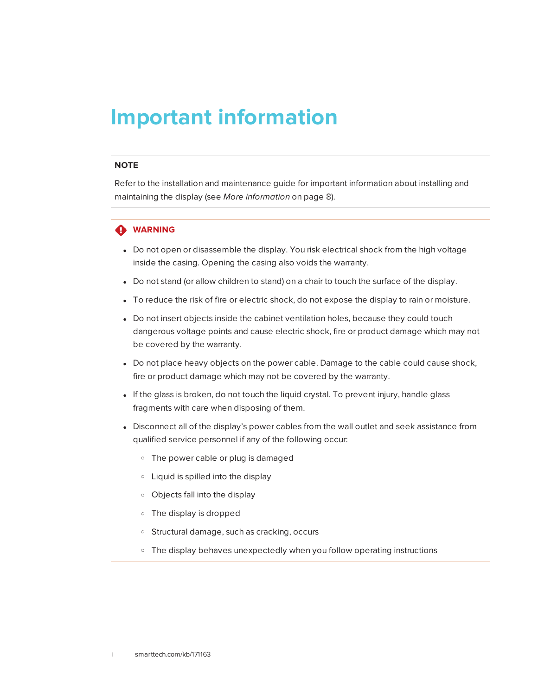## <span id="page-2-0"></span>**Important information**

#### **NOTE**

Refer to the installation and maintenance guide for important information about installing and maintaining the display (see *More [information](#page-15-0)* on page 8).

#### **WARNING**

- Do not open or disassemble the display. You risk electrical shock from the high voltage inside the casing. Opening the casing also voids the warranty.
- Do not stand (or allow children to stand) on a chair to touch the surface of the display.
- To reduce the risk of fire or electric shock, do not expose the display to rain or moisture.
- Do not insert objects inside the cabinet ventilation holes, because they could touch dangerous voltage points and cause electric shock, fire or product damage which may not be covered by the warranty.
- Do not place heavy objects on the power cable. Damage to the cable could cause shock, fire or product damage which may not be covered by the warranty.
- If the glass is broken, do not touch the liquid crystal. To prevent injury, handle glass fragments with care when disposing of them.
- <span id="page-2-1"></span>• Disconnect all of the display's power cables from the wall outlet and seek assistance from qualified service personnel if any of the following occur:
	- <sup>o</sup> The power cable or plug is damaged
	- <sup>o</sup> Liquid is spilled into the display
	- <sup>o</sup> Objects fall into the display
	- <sup>o</sup> The display is dropped
	- <sup>o</sup> Structural damage, such as cracking, occurs
	- <sup>o</sup> The display behaves unexpectedly when you follow operating instructions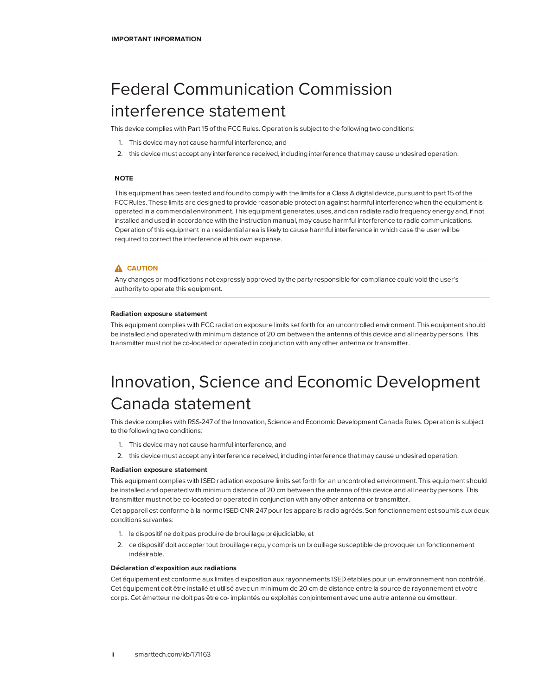## Federal Communication Commission interference statement

This device complies with Part 15 of the FCC Rules. Operation is subject to the following two conditions:

- 1. This device may not cause harmful interference, and
- 2. this device must accept any interference received, including interference that may cause undesired operation.

#### **NOTE**

This equipment has been tested and found to comply with the limits for a Class A digital device, pursuant to part 15 of the FCCRules. These limits are designed to provide reasonable protection against harmful interference when the equipment is operated in a commercial environment. This equipment generates, uses, and can radiate radio frequency energy and, if not installed and used in accordance with the instruction manual, may cause harmful interference to radio communications. Operation of this equipment in a residential area is likely to cause harmful interference in which case the user will be required to correct the interference at his own expense.

#### **A** CAUTION

Any changes or modifications not expressly approved by the party responsible for compliance could void the user's authority to operate this equipment.

#### **Radiation exposure statement**

This equipment complies with FCCradiation exposure limits set forth for an uncontrolled environment. This equipment should be installed and operated with minimum distance of 20 cm between the antenna of this device and all nearby persons. This transmitter must not be co-located or operated in conjunction with any other antenna or transmitter.

## <span id="page-3-0"></span>Innovation, Science and Economic Development Canada statement

This device complies with RSS-247 of the Innovation, Science and Economic Development Canada Rules. Operation is subject to the following two conditions:

- 1. This device may not cause harmful interference, and
- 2. this device must accept any interference received, including interference that may cause undesired operation.

#### **Radiation exposure statement**

This equipment complies with ISED radiation exposure limits set forth for an uncontrolled environment. This equipment should be installed and operated with minimum distance of 20 cm between the antenna of this device and all nearby persons. This transmitter must not be co-located or operated in conjunction with any other antenna or transmitter.

Cet appareil est conforme à la norme ISED CNR-247 pour les appareils radio agréés. Son fonctionnement est soumis aux deux conditions suivantes:

- 1. le dispositif ne doit pas produire de brouillage préjudiciable, et
- 2. ce dispositif doit accepter tout brouillage reçu, y compris un brouillage susceptible de provoquer un fonctionnement indésirable.

#### **Déclaration d'exposition aux radiations**

<span id="page-3-1"></span>Cet équipement est conforme aux limites d'exposition aux rayonnements ISED établies pour un environnement non contrôlé. Cet équipement doit être installé et utilisé avec un minimum de 20 cm de distance entre la source de rayonnement et votre corps.Cet émetteur ne doit pas être co- implantés ou exploités conjointement avec une autre antenne ou émetteur.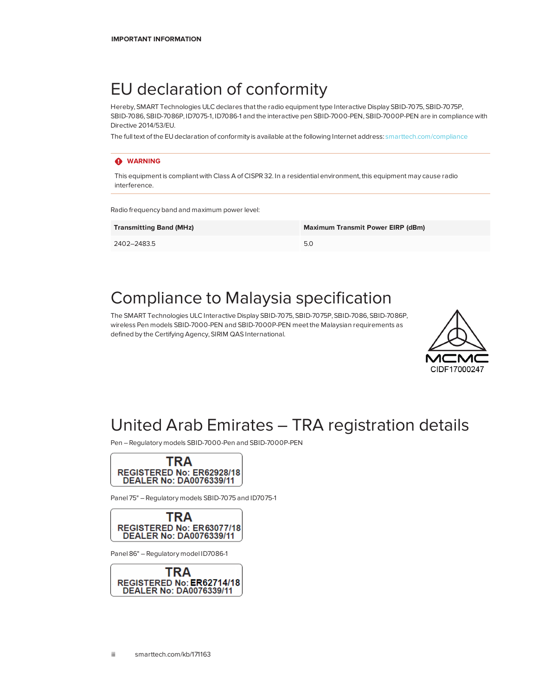## EU declaration of conformity

Hereby, SMART Technologies ULC declares that the radio equipment type Interactive Display SBID-7075, SBID-7075P, SBID-7086, SBID-7086P, ID7075-1, ID7086-1 and the interactive pen SBID-7000-PEN, SBID-7000P-PEN are in compliance with Directive 2014/53/EU.

The full text of the EU declaration of conformity is available at the following Internet address: [smarttech.com/compliance](https://www.smarttech.com/compliance)

#### **WARNING**

This equipment is compliant with Class A of CISPR 32. In a residential environment, this equipment may cause radio interference.

Radio frequency band and maximum power level:

| <b>Transmitting Band (MHz)</b> | <b>Maximum Transmit Power EIRP (dBm)</b> |
|--------------------------------|------------------------------------------|
| 2402-2483.5                    | 5.0                                      |

## <span id="page-4-0"></span>Compliance to Malaysia specification

The SMART Technologies ULC Interactive Display SBID-7075, SBID-7075P, SBID-7086, SBID-7086P, wireless Pen models SBID-7000-PEN and SBID-7000P-PEN meet the Malaysian requirements as defined by the Certifying Agency, SIRIM QAS International.



## <span id="page-4-1"></span>United Arab Emirates – TRA registration details

Pen – Regulatory models SBID-7000-Pen and SBID-7000P-PEN



Panel 75" – Regulatory models SBID-7075 and ID7075-1



Panel 86" – Regulatory model ID7086-1

<span id="page-4-2"></span>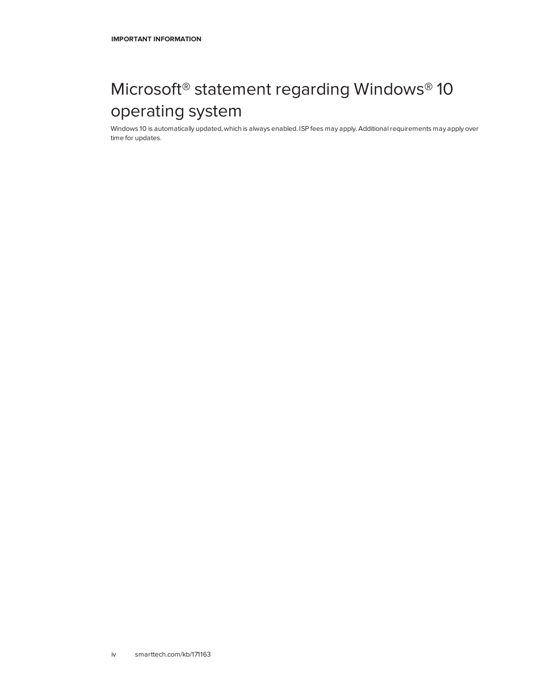## Microsoft® statement regarding Windows® 10 operating system

Windows 10 is automatically updated, which is always enabled. ISP fees may apply. Additional requirements may apply over time for updates.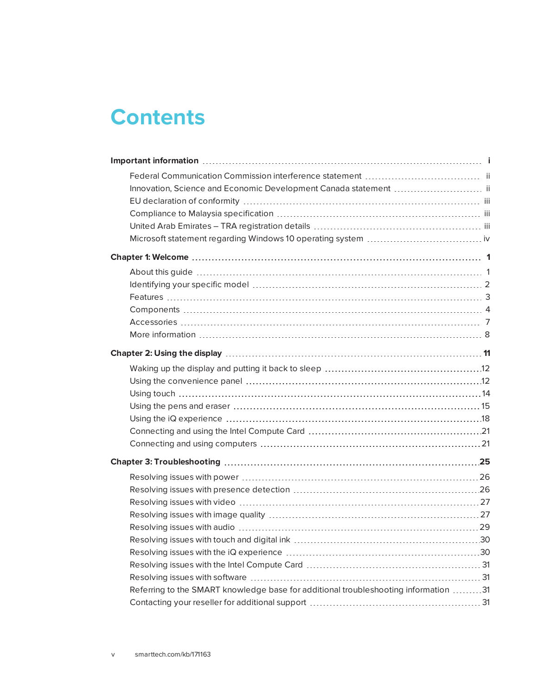## **Contents**

| Innovation, Science and Economic Development Canada statement  ii                   |  |
|-------------------------------------------------------------------------------------|--|
|                                                                                     |  |
|                                                                                     |  |
|                                                                                     |  |
|                                                                                     |  |
|                                                                                     |  |
|                                                                                     |  |
|                                                                                     |  |
|                                                                                     |  |
|                                                                                     |  |
|                                                                                     |  |
|                                                                                     |  |
|                                                                                     |  |
|                                                                                     |  |
|                                                                                     |  |
|                                                                                     |  |
|                                                                                     |  |
|                                                                                     |  |
|                                                                                     |  |
|                                                                                     |  |
|                                                                                     |  |
|                                                                                     |  |
|                                                                                     |  |
|                                                                                     |  |
|                                                                                     |  |
|                                                                                     |  |
|                                                                                     |  |
|                                                                                     |  |
|                                                                                     |  |
|                                                                                     |  |
| Referring to the SMART knowledge base for additional troubleshooting information 31 |  |
|                                                                                     |  |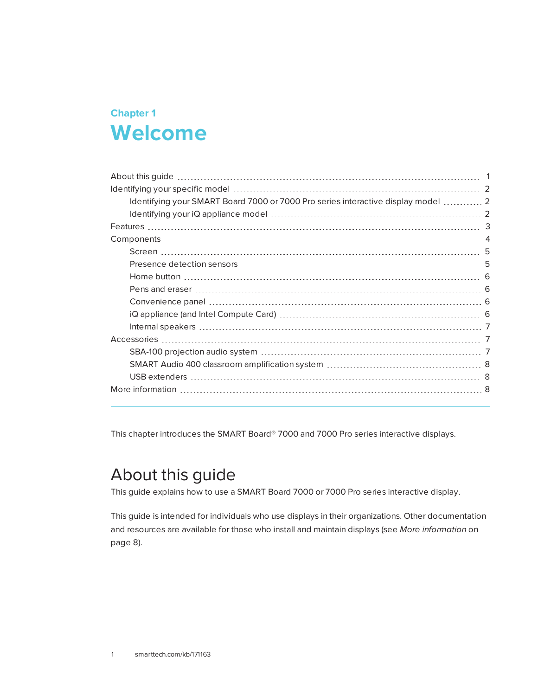## <span id="page-8-0"></span>**Chapter 1 Chapter 1: Welcome**

| Identifying your SMART Board 7000 or 7000 Pro series interactive display model  2 |
|-----------------------------------------------------------------------------------|
|                                                                                   |
|                                                                                   |
|                                                                                   |
|                                                                                   |
|                                                                                   |
|                                                                                   |
|                                                                                   |
|                                                                                   |
|                                                                                   |
|                                                                                   |
|                                                                                   |
|                                                                                   |
|                                                                                   |
|                                                                                   |
|                                                                                   |
|                                                                                   |

<span id="page-8-1"></span>This chapter introduces the SMART Board® 7000 and 7000 Pro series interactive displays.

## About this guide

This guide explains how to use a SMART Board 7000 or 7000 Pro series interactive display.

This guide is intended for individuals who use displays in their organizations. Other documentation and resources are available for those who install and maintain displays (see *More [information](#page-15-0)* on [page 8\)](#page-15-0).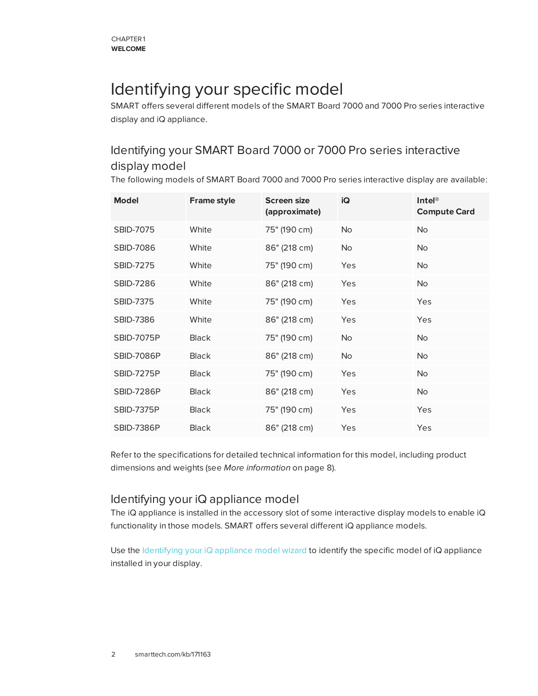## <span id="page-9-0"></span>Identifying your specific model

SMART offers several different models of the SMART Board 7000 and 7000 Pro series interactive display and iQ appliance.

## <span id="page-9-1"></span>Identifying your SMART Board 7000 or 7000 Pro series interactive display model

The following models of SMART Board 7000 and 7000 Pro series interactive display are available:

| <b>Model</b>      | <b>Frame style</b> | <b>Screen size</b><br>(approximate) | iQ             | $\mathsf{Intel}^\circledR$<br><b>Compute Card</b> |
|-------------------|--------------------|-------------------------------------|----------------|---------------------------------------------------|
| <b>SBID-7075</b>  | White              | 75" (190 cm)                        | <b>No</b>      | No                                                |
| <b>SBID-7086</b>  | White              | 86" (218 cm)                        | N <sub>o</sub> | No.                                               |
| <b>SBID-7275</b>  | White              | 75" (190 cm)                        | Yes            | N <sub>o</sub>                                    |
| <b>SBID-7286</b>  | White              | 86" (218 cm)                        | Yes            | No.                                               |
| <b>SBID-7375</b>  | White              | 75" (190 cm)                        | Yes            | Yes                                               |
| <b>SBID-7386</b>  | White              | 86" (218 cm)                        | Yes            | Yes                                               |
| <b>SBID-7075P</b> | <b>Black</b>       | 75" (190 cm)                        | <b>No</b>      | <b>No</b>                                         |
| <b>SBID-7086P</b> | <b>Black</b>       | 86" (218 cm)                        | <b>No</b>      | <b>No</b>                                         |
| <b>SBID-7275P</b> | <b>Black</b>       | 75" (190 cm)                        | Yes            | No                                                |
| <b>SBID-7286P</b> | <b>Black</b>       | 86" (218 cm)                        | Yes            | No.                                               |
| <b>SBID-7375P</b> | <b>Black</b>       | 75" (190 cm)                        | Yes            | Yes                                               |
| <b>SBID-7386P</b> | <b>Black</b>       | 86" (218 cm)                        | Yes            | Yes                                               |

Refer to the specifications for detailed technical information for this model, including product dimensions and weights (see *More [information](#page-15-0)* on page 8).

### <span id="page-9-2"></span>Identifying your iQ appliance model

The iQ appliance is installed in the accessory slot of some interactive display models to enable iQ functionality in those models. SMART offers several different iQ appliance models.

Use the [Identifying](https://support.smarttech.com/docs/redirect/?product=smartboard7000&context=id-appliance) your iQ appliance model wizard to identify the specific model of iQ appliance installed in your display.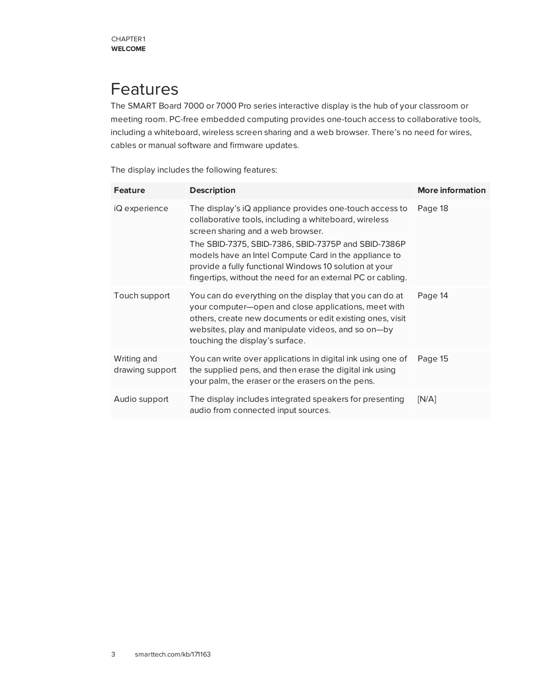## <span id="page-10-0"></span>Features

The SMART Board 7000 or 7000 Pro series interactive display is the hub of your classroom or meeting room. PC-free embedded computing provides one-touch access to collaborative tools, including a whiteboard, wireless screen sharing and a web browser. There's no need for wires, cables or manual software and firmware updates.

The display includes the following features:

| <b>Feature</b>                 | <b>Description</b>                                                                                                                                                                                                                                                                                                                                                                             | <b>More information</b> |
|--------------------------------|------------------------------------------------------------------------------------------------------------------------------------------------------------------------------------------------------------------------------------------------------------------------------------------------------------------------------------------------------------------------------------------------|-------------------------|
| iQ experience                  | The display's iQ appliance provides one-touch access to<br>collaborative tools, including a whiteboard, wireless<br>screen sharing and a web browser.<br>The SBID-7375, SBID-7386, SBID-7375P and SBID-7386P<br>models have an Intel Compute Card in the appliance to<br>provide a fully functional Windows 10 solution at your<br>fingertips, without the need for an external PC or cabling. | Page 18                 |
| Touch support                  | You can do everything on the display that you can do at<br>your computer-open and close applications, meet with<br>others, create new documents or edit existing ones, visit<br>websites, play and manipulate videos, and so on-by<br>touching the display's surface.                                                                                                                          | Page 14                 |
| Writing and<br>drawing support | You can write over applications in digital ink using one of<br>the supplied pens, and then erase the digital ink using<br>your palm, the eraser or the erasers on the pens.                                                                                                                                                                                                                    | Page 15                 |
| Audio support                  | The display includes integrated speakers for presenting<br>audio from connected input sources.                                                                                                                                                                                                                                                                                                 | [N/A]                   |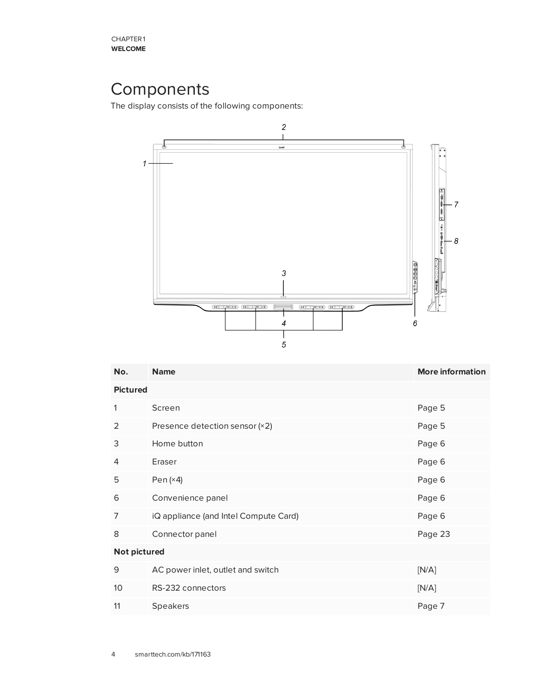## <span id="page-11-0"></span>Components

The display consists of the following components:



| No.             | <b>Name</b>                           | <b>More information</b> |  |  |  |
|-----------------|---------------------------------------|-------------------------|--|--|--|
|                 | <b>Pictured</b>                       |                         |  |  |  |
| 1               | Screen                                | Page 5                  |  |  |  |
| 2               | Presence detection sensor (×2)        | Page 5                  |  |  |  |
| 3               | Home button                           | Page 6                  |  |  |  |
| 4               | Eraser                                | Page 6                  |  |  |  |
| 5               | Pen $(x4)$                            | Page 6                  |  |  |  |
| 6               | Convenience panel                     | Page 6                  |  |  |  |
| 7               | iQ appliance (and Intel Compute Card) | Page 6                  |  |  |  |
| 8               | Connector panel                       | Page 23                 |  |  |  |
| Not pictured    |                                       |                         |  |  |  |
| 9               | AC power inlet, outlet and switch     | [N/A]                   |  |  |  |
| 10 <sup>°</sup> | RS-232 connectors                     | [N/A]                   |  |  |  |
| 11              | <b>Speakers</b>                       | Page 7                  |  |  |  |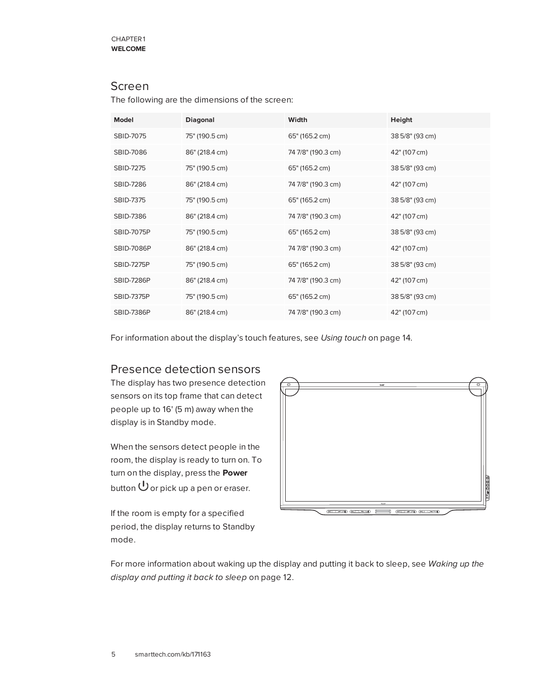### <span id="page-12-0"></span>Screen

The following are the dimensions of the screen:

| Model             | <b>Diagonal</b> | Width              | Height          |
|-------------------|-----------------|--------------------|-----------------|
| SBID-7075         | 75" (190.5 cm)  | 65" (165.2 cm)     | 38 5/8" (93 cm) |
| SBID-7086         | 86" (218.4 cm)  | 74 7/8" (190.3 cm) | 42" (107 cm)    |
| <b>SBID-7275</b>  | 75" (190.5 cm)  | 65" (165.2 cm)     | 38 5/8" (93 cm) |
| <b>SBID-7286</b>  | 86" (218.4 cm)  | 74 7/8" (190.3 cm) | 42" (107 cm)    |
| <b>SBID-7375</b>  | 75" (190.5 cm)  | 65" (165.2 cm)     | 38 5/8" (93 cm) |
| <b>SBID-7386</b>  | 86" (218.4 cm)  | 74 7/8" (190.3 cm) | 42" (107 cm)    |
| <b>SBID-7075P</b> | 75" (190.5 cm)  | 65" (165.2 cm)     | 38 5/8" (93 cm) |
| <b>SBID-7086P</b> | 86" (218.4 cm)  | 74 7/8" (190.3 cm) | 42" (107 cm)    |
| <b>SBID-7275P</b> | 75" (190.5 cm)  | 65" (165.2 cm)     | 38 5/8" (93 cm) |
| <b>SBID-7286P</b> | 86" (218.4 cm)  | 74 7/8" (190.3 cm) | 42" (107 cm)    |
| <b>SBID-7375P</b> | 75" (190.5 cm)  | 65" (165.2 cm)     | 38 5/8" (93 cm) |
| <b>SBID-7386P</b> | 86" (218.4 cm)  | 74 7/8" (190.3 cm) | 42" (107 cm)    |

<span id="page-12-1"></span>For information about the display's touch features, see *Using touch* on [page 14](#page-21-0).

### Presence detection sensors

The display has two presence detection sensors on its top frame that can detect people up to 16' (5 m) away when the display is in Standby mode.

When the sensors detect people in the room, the display is ready to turn on. To turn on the display, press the **Power** button  $\mathbf 0$  or pick up a pen or eraser.

If the room is empty for a specified period, the display returns to Standby mode.



For more information about waking up the display and putting it back to sleep, see *[Waking](#page-19-0) up the display and putting it back to sleep* on [page 12](#page-19-0).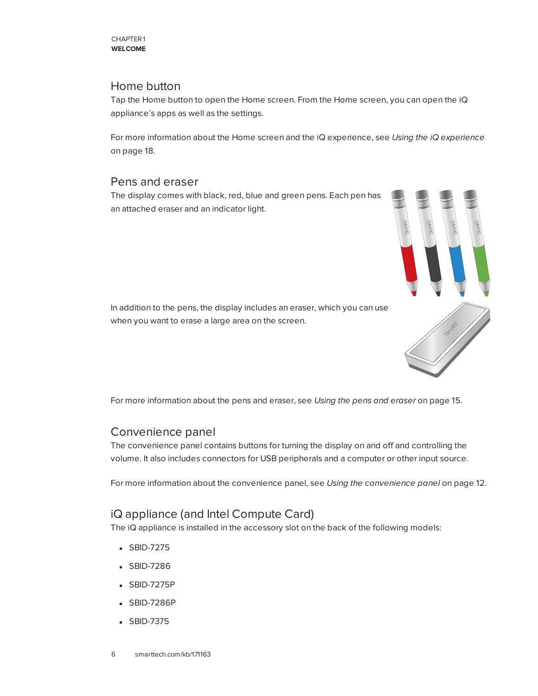### <span id="page-13-0"></span>Home button

Tap the Home button to open the Home screen. From the Home screen, you can open the iQ appliance's apps as well as the settings.

For more information about the Home screen and the iQ experience, see *Using the iQ [experience](#page-25-0)* on [page 18.](#page-25-0)

### <span id="page-13-1"></span>Pens and eraser

The display comes with black, red, blue and green pens. Each pen has an attached eraser and an indicator light.



In addition to the pens, the display includes an eraser, which you can use when you want to erase a large area on the screen.

<span id="page-13-2"></span>For more information about the pens and eraser, see *Using the pens and eraser* on [page 15](#page-22-0).

### Convenience panel

The convenience panel contains buttons for turning the display on and off and controlling the volume. It also includes connectors for USB peripherals and a computer or other input source.

<span id="page-13-3"></span>For more information about the convenience panel, see *Using the [convenience](#page-19-1) panel* on page 12.

### iQ appliance (and Intel Compute Card)

The iQ appliance is installed in the accessory slot on the back of the following models:

- SBID-7275
- SBID-7286
- SBID-7275P
- SBID-7286P
- SBID-7375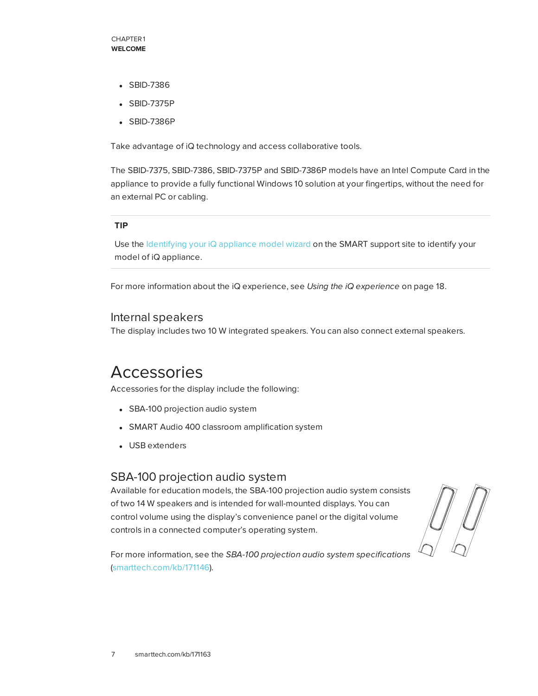- SBID-7386
- SBID-7375P
- SBID-7386P

Take advantage of iQ technology and access collaborative tools.

The SBID-7375, SBID-7386, SBID-7375P and SBID-7386P models have an Intel Compute Card in the appliance to provide a fully functional Windows 10 solution at your fingertips, without the need for an external PC or cabling.

#### **TIP**

Use the [Identifying](https://support.smarttech.com/docs/redirect/?product=smartboard7000&context=id-appliance) your iQ appliance model wizard on the SMART support site to identify your model of iQ appliance.

<span id="page-14-1"></span>For more information about the iQ experience, see *Using the iQ [experience](#page-25-0)* on page 18.

#### Internal speakers

<span id="page-14-0"></span>The display includes two 10 W integrated speakers. You can also connect external speakers.

## Accessories

Accessories for the display include the following:

- SBA-100 projection audio system
- SMART Audio 400 classroom amplification system
- <span id="page-14-2"></span>• USB extenders

### SBA-100 projection audio system

Available for education models, the SBA-100 projection audio system consists of two 14 W speakers and is intended for wall-mounted displays. You can control volume using the display's convenience panel or the digital volume controls in a connected computer's operating system.

For more information, see the *SBA-100 projection audio system specifications* [\(smarttech.com/kb/171146](http://www.smarttech.com/kb/171146)).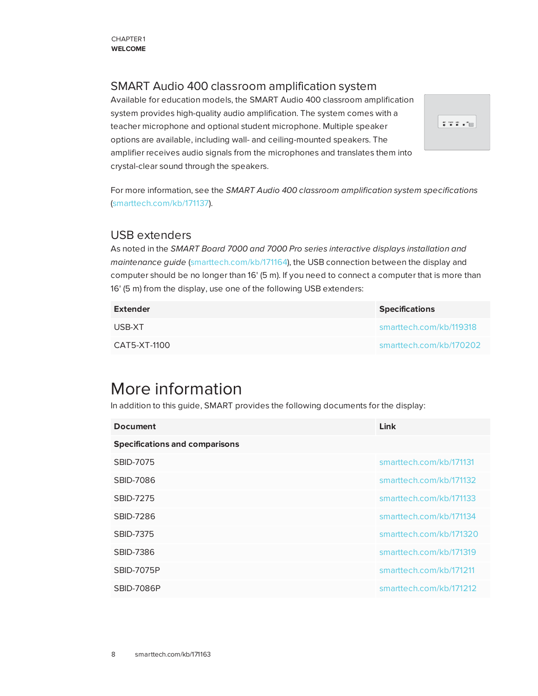### <span id="page-15-1"></span>SMART Audio 400 classroom amplification system

Available for education models, the SMART Audio 400 classroom amplification system provides high-quality audio amplification. The system comes with a teacher microphone and optional student microphone. Multiple speaker options are available, including wall- and ceiling-mounted speakers. The amplifier receives audio signals from the microphones and translates them into crystal-clear sound through the speakers.



For more information, see the *SMART Audio 400 classroom amplification system specifications* [\(smarttech.com/kb/171137\)](http://www.smarttech.com/kb/171137).

### <span id="page-15-2"></span>USB extenders

As noted in the *SMART Board 7000 and 7000 Pro series interactive displays installation and maintenance guide* ([smarttech.com/kb/171164](http://www.smarttech.com/kb/171164)), the USB connection between the display and computer should be no longer than 16' (5 m). If you need to connect a computer that is more than 16' (5 m) from the display, use one of the following USB extenders:

| <b>Extender</b> | <b>Specifications</b>   |
|-----------------|-------------------------|
| USB-XT          | smarttech.com/kb/119318 |
| CAT5-XT-1100    | smarttech.com/kb/170202 |

## <span id="page-15-0"></span>More information

In addition to this guide, SMART provides the following documents for the display:

| <b>Document</b>                       | Link                    |
|---------------------------------------|-------------------------|
| <b>Specifications and comparisons</b> |                         |
| SBID-7075                             | smarttech.com/kb/171131 |
| <b>SBID-7086</b>                      | smarttech.com/kb/171132 |
| <b>SBID-7275</b>                      | smarttech.com/kb/171133 |
| <b>SBID-7286</b>                      | smarttech.com/kb/171134 |
| SBID-7375                             | smarttech.com/kb/171320 |
| SBID-7386                             | smarttech.com/kb/171319 |
| <b>SBID-7075P</b>                     | smarttech.com/kb/171211 |
| <b>SBID-7086P</b>                     | smarttech.com/kb/171212 |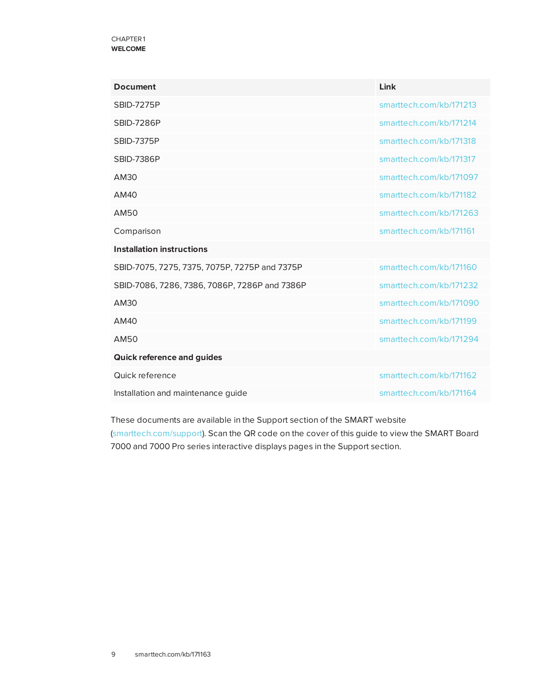#### CHAPTER1 **WELCOME**

| <b>Document</b>                               | Link                    |
|-----------------------------------------------|-------------------------|
| <b>SBID-7275P</b>                             | smarttech.com/kb/171213 |
| <b>SBID-7286P</b>                             | smarttech.com/kb/171214 |
| <b>SBID-7375P</b>                             | smarttech.com/kb/171318 |
| <b>SBID-7386P</b>                             | smarttech.com/kb/171317 |
| AM30                                          | smarttech.com/kb/171097 |
| AM40                                          | smarttech.com/kb/171182 |
| AM50                                          | smarttech.com/kb/171263 |
| Comparison                                    | smarttech.com/kb/171161 |
| <b>Installation instructions</b>              |                         |
| SBID-7075, 7275, 7375, 7075P, 7275P and 7375P | smarttech.com/kb/171160 |
| SBID-7086, 7286, 7386, 7086P, 7286P and 7386P | smarttech.com/kb/171232 |
| AM30                                          | smarttech.com/kb/171090 |
| AM40                                          | smarttech.com/kb/171199 |
| AM50                                          | smarttech.com/kb/171294 |
| <b>Quick reference and guides</b>             |                         |
| Quick reference                               | smarttech.com/kb/171162 |
| Installation and maintenance guide            | smarttech.com/kb/171164 |

These documents are available in the Support section of the SMART website [\(smarttech.com/support](http://www.smarttech.com/support)). Scan the QR code on the cover of this guide to view the SMART Board 7000 and 7000 Pro series interactive displays pages in the Support section.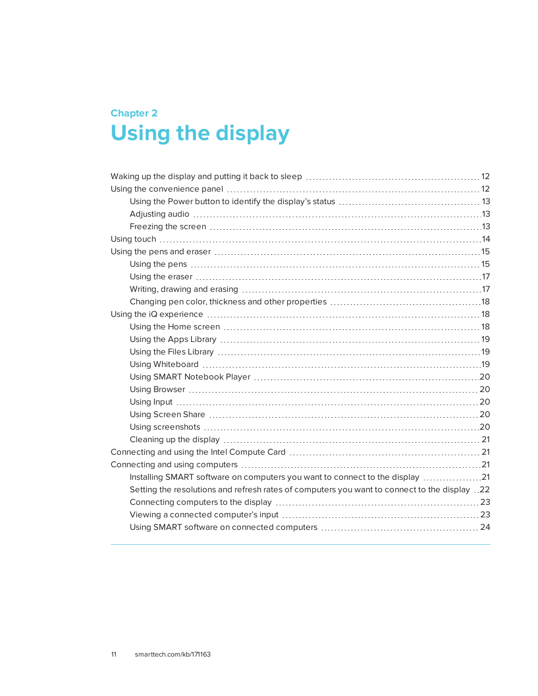## <span id="page-18-0"></span>**Chapter 2 Chapter 2: Using the display**

| Installing SMART software on computers you want to connect to the display 21                 |  |
|----------------------------------------------------------------------------------------------|--|
| Setting the resolutions and refresh rates of computers you want to connect to the display 22 |  |
|                                                                                              |  |
|                                                                                              |  |
|                                                                                              |  |
|                                                                                              |  |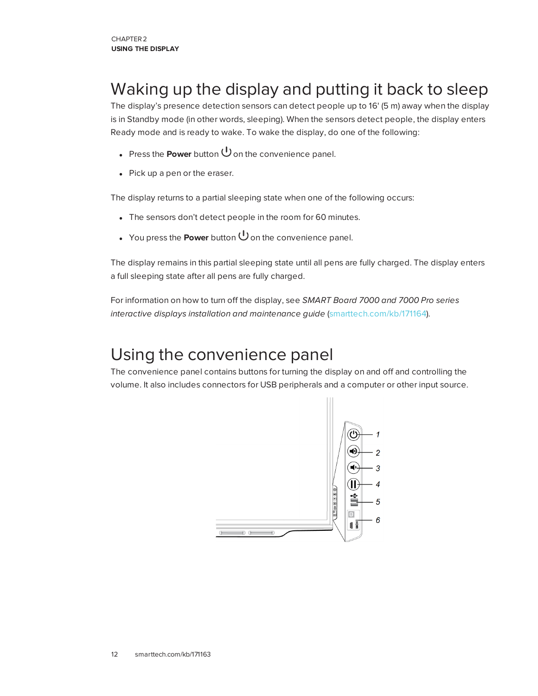## <span id="page-19-0"></span>Waking up the display and putting it back to sleep

The display's presence detection sensors can detect people up to 16' (5 m) away when the display is in Standby mode (in other words, sleeping). When the sensors detect people, the display enters Ready mode and is ready to wake. To wake the display, do one of the following:

- **Press the Power** button  $\bigcup$  on the convenience panel.
- $\bullet$  Pick up a pen or the eraser.

The display returns to a partial sleeping state when one of the following occurs:

- The sensors don't detect people in the room for 60 minutes.
- You press the **Power** button  $\bigcup$  on the convenience panel.

The display remains in this partial sleeping state until all pens are fully charged. The display enters a full sleeping state after all pens are fully charged.

For information on how to turn off the display, see *SMART Board 7000 and 7000 Pro series interactive displays installation and maintenance guide* [\(smarttech.com/kb/171164](http://www.smarttech.com/kb/171164)).

## <span id="page-19-1"></span>Using the convenience panel

The convenience panel contains buttons for turning the display on and off and controlling the volume. It also includes connectors for USB peripherals and a computer or other input source.

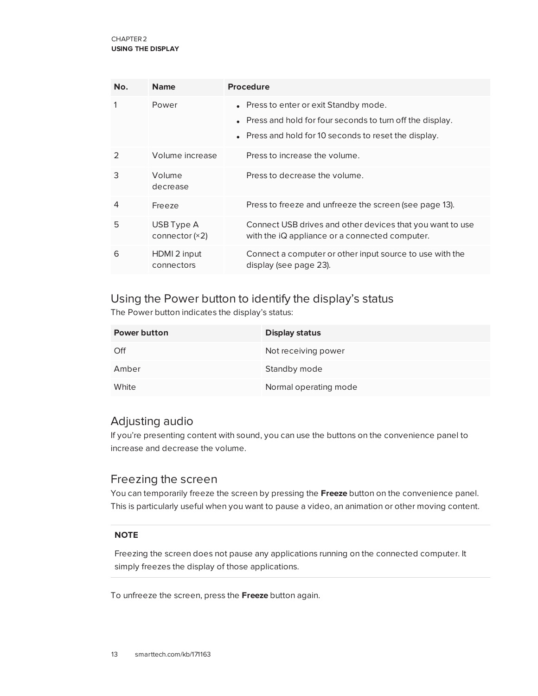| No.           | <b>Name</b>                    | <b>Procedure</b>                                                                                                                                              |
|---------------|--------------------------------|---------------------------------------------------------------------------------------------------------------------------------------------------------------|
| 1             | Power                          | • Press to enter or exit Standby mode.<br>• Press and hold for four seconds to turn off the display.<br>• Press and hold for 10 seconds to reset the display. |
| $\mathcal{P}$ | Volume increase                | Press to increase the volume.                                                                                                                                 |
| 3             | Volume<br>decrease             | Press to decrease the volume.                                                                                                                                 |
| 4             | Freeze                         | Press to freeze and unfreeze the screen (see page 13).                                                                                                        |
| 5             | USB Type A<br>connector $(x2)$ | Connect USB drives and other devices that you want to use<br>with the iQ appliance or a connected computer.                                                   |
| 6             | HDMI 2 input<br>connectors     | Connect a computer or other input source to use with the<br>display (see page 23).                                                                            |

### <span id="page-20-0"></span>Using the Power button to identify the display's status

The Power button indicates the display's status:

| <b>Power button</b> | <b>Display status</b> |
|---------------------|-----------------------|
| Off                 | Not receiving power   |
| Amber               | Standby mode          |
| White               | Normal operating mode |

### <span id="page-20-1"></span>Adjusting audio

If you're presenting content with sound, you can use the buttons on the convenience panel to increase and decrease the volume.

### <span id="page-20-2"></span>Freezing the screen

You can temporarily freeze the screen by pressing the **Freeze** button on the convenience panel. This is particularly useful when you want to pause a video, an animation or other moving content.

#### **NOTE**

Freezing the screen does not pause any applications running on the connected computer. It simply freezes the display of those applications.

To unfreeze the screen, press the **Freeze** button again.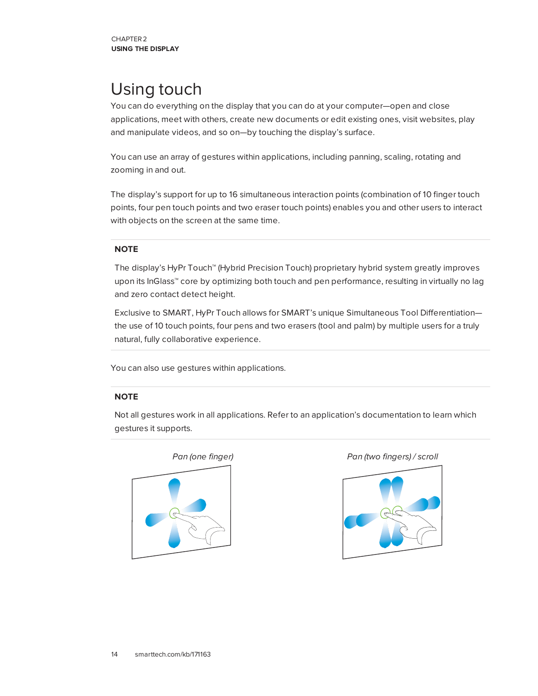## <span id="page-21-0"></span>Using touch

You can do everything on the display that you can do at your computer—open and close applications, meet with others, create new documents or edit existing ones, visit websites, play and manipulate videos, and so on—by touching the display's surface.

You can use an array of gestures within applications, including panning, scaling, rotating and zooming in and out.

The display's support for up to 16 simultaneous interaction points (combination of 10 finger touch points, four pen touch points and two eraser touch points) enables you and other users to interact with objects on the screen at the same time.

#### **NOTE**

The display's HyPr Touch™ (Hybrid Precision Touch) proprietary hybrid system greatly improves upon its InGlass™ core by optimizing both touch and pen performance, resulting in virtually no lag and zero contact detect height.

Exclusive to SMART, HyPr Touch allows for SMART's unique Simultaneous Tool Differentiation the use of 10 touch points, four pens and two erasers (tool and palm) by multiple users for a truly natural, fully collaborative experience.

You can also use gestures within applications.

#### **NOTE**

Not all gestures work in all applications. Refer to an application's documentation to learn which gestures it supports.



*Pan (one finger) Pan (two fingers) / scroll*

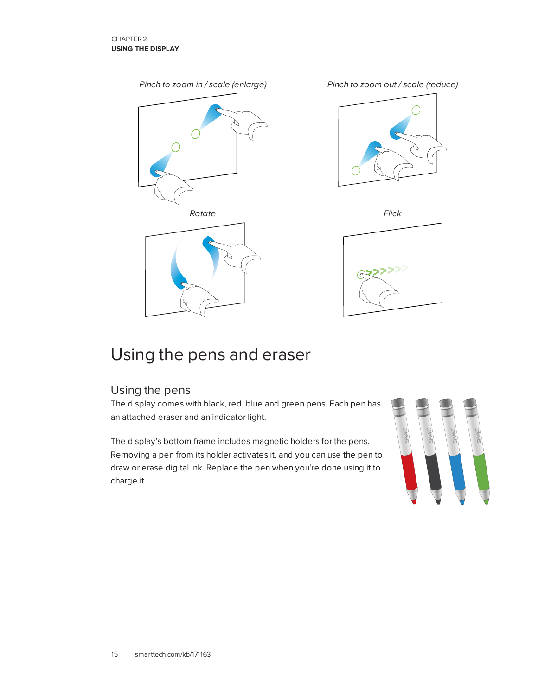

## <span id="page-22-0"></span>Using the pens and eraser

### <span id="page-22-1"></span>Using the pens

The display comes with black, red, blue and green pens. Each pen has an attached eraser and an indicator light.

The display's bottom frame includes magnetic holders for the pens. Removing a pen from its holder activates it, and you can use the pen to draw or erase digital ink. Replace the pen when you're done using it to charge it.

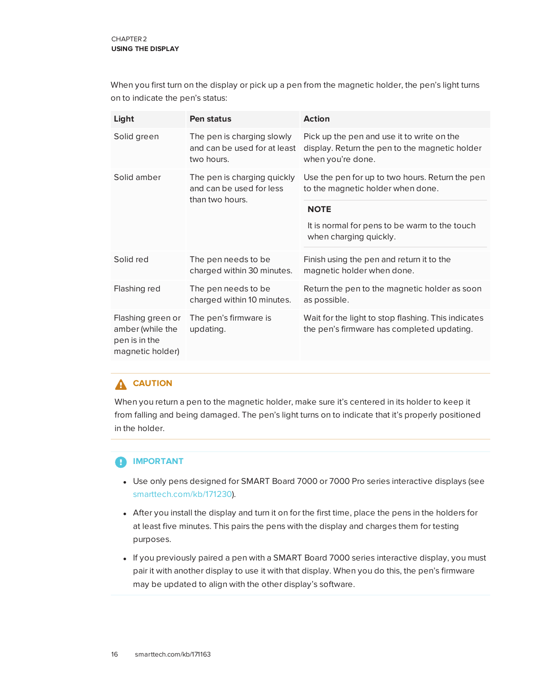When you first turn on the display or pick up a pen from the magnetic holder, the pen's light turns on to indicate the pen's status:

| Light                                                                      | Pen status                                                                 | <b>Action</b>                                                                                                     |
|----------------------------------------------------------------------------|----------------------------------------------------------------------------|-------------------------------------------------------------------------------------------------------------------|
| Solid green                                                                | The pen is charging slowly<br>and can be used for at least<br>two hours.   | Pick up the pen and use it to write on the<br>display. Return the pen to the magnetic holder<br>when you're done. |
| Solid amber                                                                | The pen is charging quickly<br>and can be used for less<br>than two hours. | Use the pen for up to two hours. Return the pen<br>to the magnetic holder when done.                              |
|                                                                            |                                                                            | <b>NOTE</b><br>It is normal for pens to be warm to the touch<br>when charging quickly.                            |
| Solid red                                                                  | The pen needs to be<br>charged within 30 minutes.                          | Finish using the pen and return it to the<br>magnetic holder when done.                                           |
| Flashing red                                                               | The pen needs to be<br>charged within 10 minutes.                          | Return the pen to the magnetic holder as soon<br>as possible.                                                     |
| Flashing green or<br>amber (while the<br>pen is in the<br>magnetic holder) | The pen's firmware is<br>updating.                                         | Wait for the light to stop flashing. This indicates<br>the pen's firmware has completed updating.                 |

### **A** CAUTION

When you return a pen to the magnetic holder, make sure it's centered in its holder to keep it from falling and being damaged. The pen's light turns on to indicate that it's properly positioned in the holder.

#### **IMPORTANT** Œ

- Use only pens designed for SMART Board 7000 or 7000 Pro series interactive displays (see [smarttech.com/kb/171230](http://www.smarttech.com/kb/171230)).
- After you install the display and turn it on for the first time, place the pens in the holders for at least five minutes. This pairs the pens with the display and charges them for testing purposes.
- If you previously paired a pen with a SMART Board 7000 series interactive display, you must pair it with another display to use it with that display. When you do this, the pen's firmware may be updated to align with the other display's software.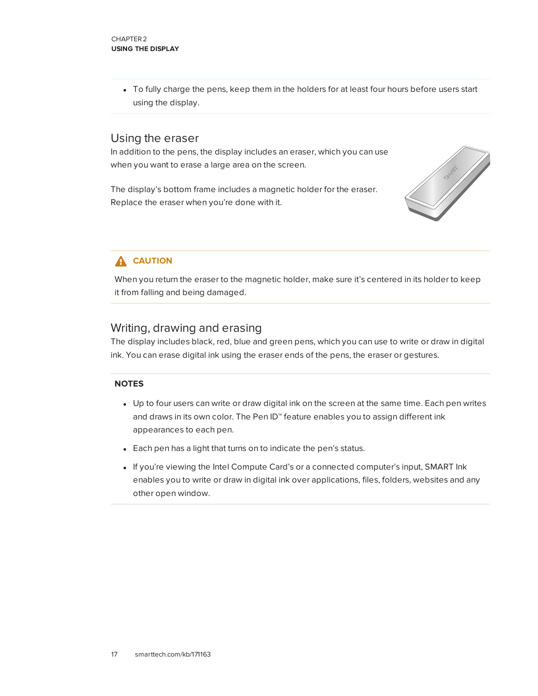• To fully charge the pens, keep them in the holders for at least four hours before users start using the display.

### <span id="page-24-0"></span>Using the eraser

In addition to the pens, the display includes an eraser, which you can use when you want to erase a large area on the screen.

The display's bottom frame includes a magnetic holder for the eraser. Replace the eraser when you're done with it.



### **A** CAUTION

When you return the eraser to the magnetic holder, make sure it's centered in its holder to keep it from falling and being damaged.

### <span id="page-24-1"></span>Writing, drawing and erasing

The display includes black, red, blue and green pens, which you can use to write or draw in digital ink. You can erase digital ink using the eraser ends of the pens, the eraser or gestures.

#### **NOTES**

- Up to four users can write or draw digital ink on the screen at the same time. Each pen writes and draws in its own color. The Pen ID™ feature enables you to assign different ink appearances to each pen.
- Each pen has a light that turns on to indicate the pen's status.
- If you're viewing the Intel Compute Card's or a connected computer's input, SMART Ink enables you to write or draw in digital ink over applications, files, folders, websites and any other open window.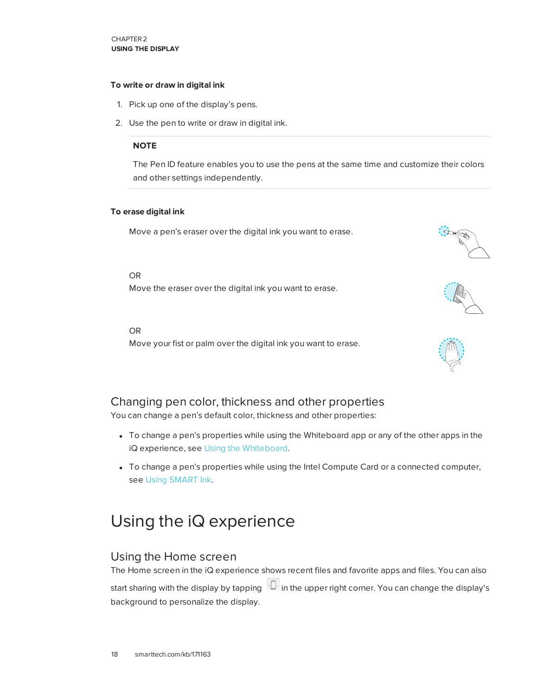#### **To write or draw in digital ink**

- 1. Pick up one of the display's pens.
- 2. Use the pen to write or draw in digital ink.

#### **NOTE**

The Pen ID feature enables you to use the pens at the same time and customize their colors and other settings independently.

 $\sim$ 

#### **To erase digital ink**

Move a pen's eraser over the digital ink you want to erase.

OR

Move the eraser over the digital ink you want to erase.

OR

Move your fist or palm over the digital ink you want to erase.

### <span id="page-25-1"></span>Changing pen color, thickness and other properties

You can change a pen's default color, thickness and other properties:

- To change a pen's properties while using the Whiteboard app or any of the other apps in the iQ experience, see Using the [Whiteboard.](https://support.smarttech.com/docs/redirect/?product=iq&context=whiteboard)
- To change a pen's properties while using the Intel Compute Card or a connected computer, see Using [SMART Ink.](https://support.smarttech.com/docs/redirect/?product=ink&context=using)

## <span id="page-25-0"></span>Using the iQ experience

### <span id="page-25-2"></span>Using the Home screen

The Home screen in the iQ experience shows recent files and favorite apps and files. You can also start sharing with the display by tapping  $\Box$  in the upper right corner. You can change the display's background to personalize the display.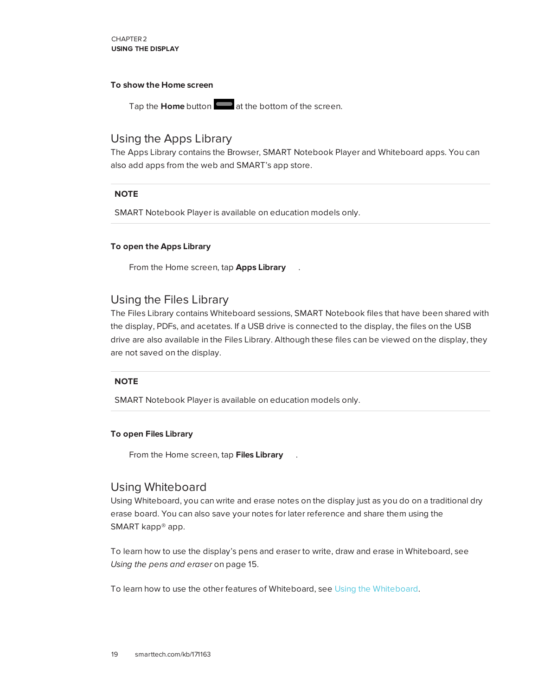CHAPTER2 **USING THE DISPLAY**

#### **To show the Home screen**

Tap the **Home** button at the bottom of the screen.

### <span id="page-26-0"></span>Using the Apps Library

The Apps Library contains the Browser, SMART Notebook Player and Whiteboard apps. You can also add apps from the web and SMART's app store.

#### **NOTE**

SMART Notebook Player is available on education models only.

#### **To open the Apps Library**

From the Home screen, tap **Apps Library** .

#### <span id="page-26-1"></span>Using the Files Library

The Files Library contains Whiteboard sessions, SMART Notebook files that have been shared with the display, PDFs, and acetates. If a USB drive is connected to the display, the files on the USB drive are also available in the Files Library. Although these files can be viewed on the display, they are not saved on the display.

#### **NOTE**

SMART Notebook Player is available on education models only.

#### **To open Files Library**

From the Home screen, tap **Files Library** .

### <span id="page-26-2"></span>Using Whiteboard

Using Whiteboard, you can write and erase notes on the display just as you do on a traditional dry erase board. You can also save your notes for later reference and share them using the SMART kapp® app.

To learn how to use the display's pens and eraser to write, draw and erase in Whiteboard, see *Using the pens and eraser* on [page 15](#page-22-0).

To learn how to use the other features of Whiteboard, see Using the [Whiteboard](https://support.smarttech.com/docs/redirect/?product=iq&context=whiteboard).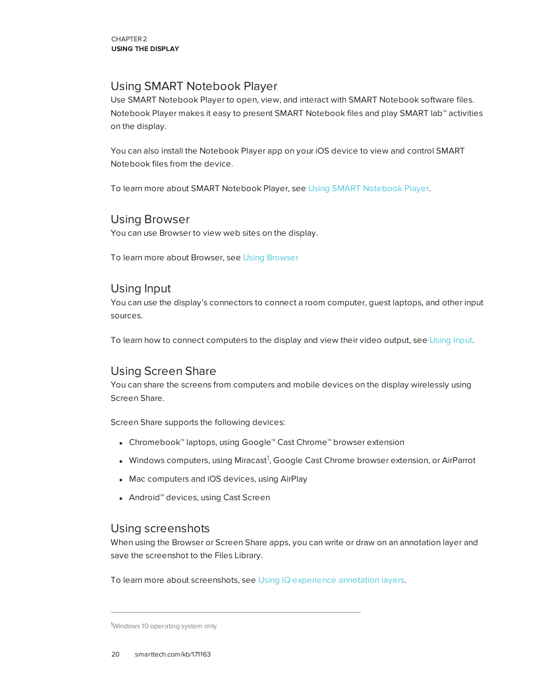### <span id="page-27-0"></span>Using SMART Notebook Player

Use SMART Notebook Player to open, view, and interact with SMART Notebook software files. Notebook Player makes it easy to present SMART Notebook files and play SMART lab™ activities on the display.

You can also install the Notebook Player app on your iOS device to view and control SMART Notebook files from the device.

<span id="page-27-1"></span>To learn more about SMART Notebook Player, see Using [SMART Notebook](https://support.smarttech.com/docs/redirect/?product=iq&context=player) Player.

### Using Browser

You can use Browser to view web sites on the display.

<span id="page-27-2"></span>To learn more about Browser, see Using [Browser](https://support.smarttech.com/docs/redirect/?product=iq&context=browser)

### Using Input

You can use the display's connectors to connect a room computer, guest laptops, and other input sources.

<span id="page-27-3"></span>To learn how to connect computers to the display and view their video output, see [Using](https://support.smarttech.com/docs/redirect/?product=iq&context=input) Input.

### Using Screen Share

You can share the screens from computers and mobile devices on the display wirelessly using Screen Share.

Screen Share supports the following devices:

- Chromebook™ laptops, using Google™ Cast Chrome™ browser extension
- $\bullet~$  Windows computers, using Miracast $^1$ , Google Cast Chrome browser extension, or AirParrot
- Mac computers and iOS devices, using AirPlay
- <span id="page-27-4"></span>• Android™ devices, using Cast Screen

### Using screenshots

When using the Browser or Screen Share apps, you can write or draw on an annotation layer and save the screenshot to the Files Library.

To learn more about screenshots, see Using iQ [experience](https://support.smarttech.com/docs/redirect/?product=iq&context=acetates) annotation layers.

<sup>1</sup>Windows 10 operating system only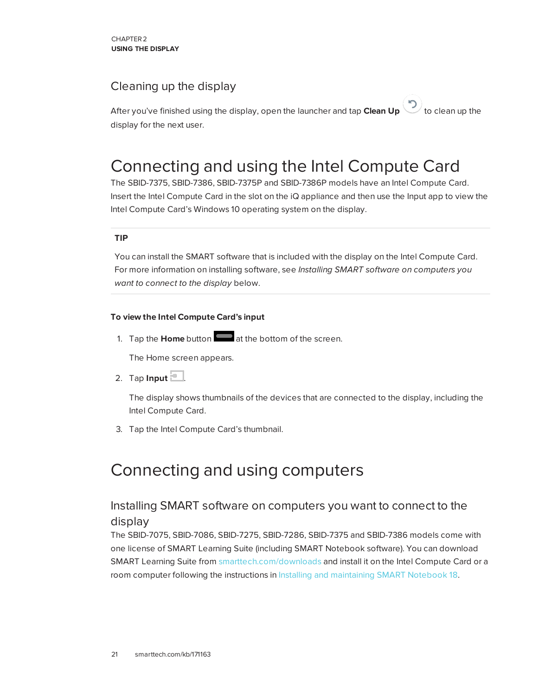### <span id="page-28-2"></span>Cleaning up the display

After you've finished using the display, open the launcher and tap **Clean Up** to clean up the display for the next user.

## <span id="page-28-0"></span>Connecting and using the Intel Compute Card

The SBID-7375, SBID-7386, SBID-7375P and SBID-7386P models have an Intel Compute Card. Insert the Intel Compute Card in the slot on the iQ appliance and then use the Input app to view the Intel Compute Card's Windows 10 operating system on the display.

#### **TIP**

You can install the SMART software that is included with the display on the Intel Compute Card. For more information on installing software, see *Installing SMART software on [computers](#page-28-3) you want to [connect](#page-28-3) to the display* below.

#### **To view the Intel Compute Card's input**

1. Tap the **Home** button **at the bottom of the screen.** 

The Home screen appears.

2. Tap  $\ln$ put  $\Box$ .

The display shows thumbnails of the devices that are connected to the display, including the Intel Compute Card.

<span id="page-28-1"></span>3. Tap the Intel Compute Card's thumbnail.

## <span id="page-28-3"></span>Connecting and using computers

### Installing SMART software on computers you want to connect to the display

The SBID-7075, SBID-7086, SBID-7275, SBID-7286, SBID-7375 and SBID-7386 models come with one license of SMART Learning Suite (including SMART Notebook software). You can download SMART Learning Suite from [smarttech.com/downloads](https://www.smarttech.com/downloads) and install it on the Intel Compute Card or a room computer following the instructions in Installing and maintaining [SMART Notebook](https://support.smarttech.com/docs/software/notebook/notebook-18/en/installing-and-maintaining/) 18.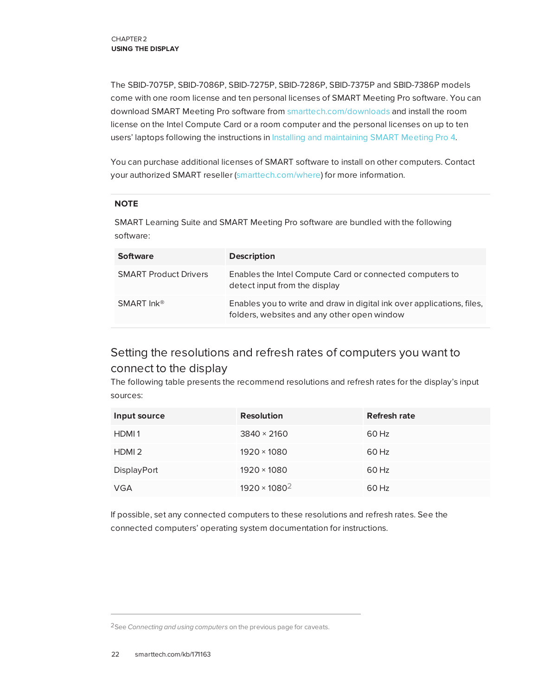The SBID-7075P, SBID-7086P, SBID-7275P, SBID-7286P, SBID-7375P and SBID-7386P models come with one room license and ten personal licenses of SMART Meeting Pro software. You can download SMART Meeting Pro software from [smarttech.com/downloads](https://www.smarttech.com/downloads) and install the room license on the Intel Compute Card or a room computer and the personal licenses on up to ten users' laptops following the instructions in Installing and maintaining [SMART Meeting Pro](https://support.smarttech.com/docs/software/meetingpro/meetingpro-4/en/installing-and-maintaining/) 4.

You can purchase additional licenses of SMART software to install on other computers. Contact your authorized SMART reseller [\(smarttech.com/where](http://www.smarttech.com/where)) for more information.

#### **NOTE**

SMART Learning Suite and SMART Meeting Pro software are bundled with the following software:

| <b>Software</b>              | <b>Description</b>                                                                                                    |
|------------------------------|-----------------------------------------------------------------------------------------------------------------------|
| <b>SMART Product Drivers</b> | Enables the Intel Compute Card or connected computers to<br>detect input from the display                             |
| SMART $ln k^{\circledR}$     | Enables you to write and draw in digital ink over applications, files,<br>folders, websites and any other open window |

## <span id="page-29-0"></span>Setting the resolutions and refresh rates of computers you want to connect to the display

The following table presents the recommend resolutions and refresh rates for the display's input sources:

| Input source      | <b>Resolution</b>    | <b>Refresh rate</b> |
|-------------------|----------------------|---------------------|
| HDMI1             | $3840 \times 2160$   | 60 Hz               |
| HDMI <sub>2</sub> | $1920 \times 1080$   | 60 Hz               |
| DisplayPort       | $1920 \times 1080$   | 60 Hz               |
| <b>VGA</b>        | $1920 \times 1080^2$ | 60 Hz               |

If possible, set any connected computers to these resolutions and refresh rates. See the connected computers' operating system documentation for instructions.

<sup>2</sup>See *[Connecting](#page-28-1) and using computers* on the previous page for caveats.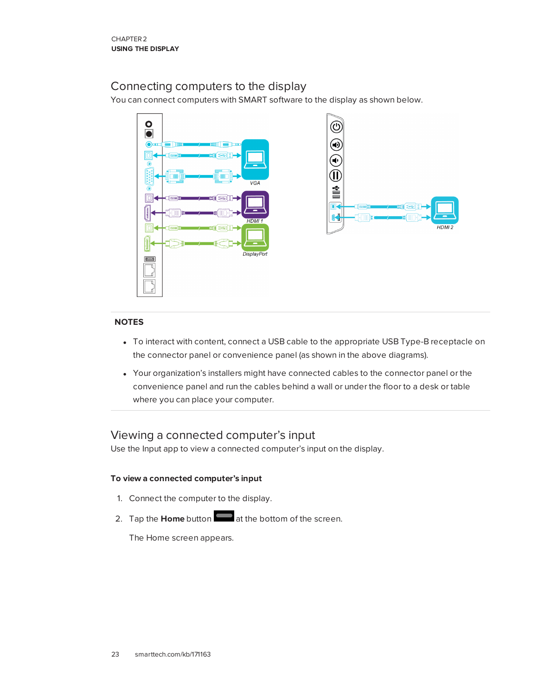### <span id="page-30-0"></span>Connecting computers to the display

You can connect computers with SMART software to the display as shown below.



#### **NOTES**

- To interact with content, connect a USB cable to the appropriate USB Type-B receptacle on the connector panel or convenience panel (as shown in the above diagrams).
- Your organization's installers might have connected cables to the connector panel or the convenience panel and run the cables behind a wall or under the floor to a desk or table where you can place your computer.

### <span id="page-30-1"></span>Viewing a connected computer's input

Use the Input app to view a connected computer's input on the display.

#### **To view a connected computer's input**

- 1. Connect the computer to the display.
- 2. Tap the **Home** button **at the bottom of the screen.**

The Home screen appears.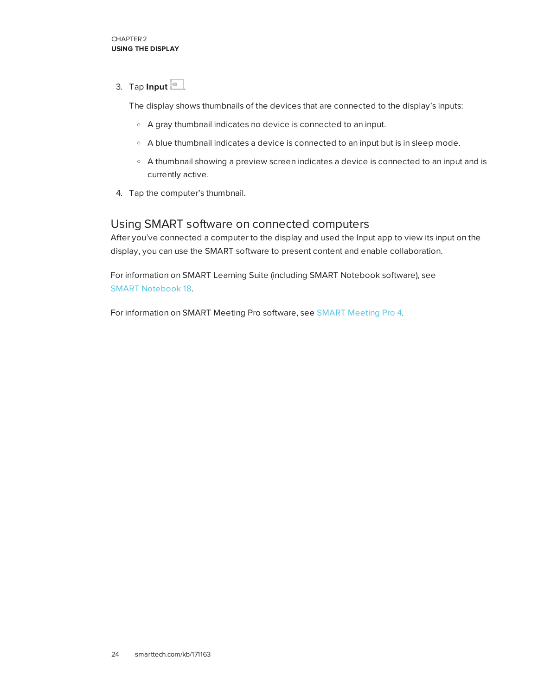3. Tap **Input**  $\boxed{2}$ .

The display shows thumbnails of the devices that are connected to the display's inputs:

- <sup>o</sup> A gray thumbnail indicates no device is connected to an input.
- <sup>o</sup> A blue thumbnail indicates a device is connected to an input but is in sleep mode.
- <sup>o</sup> A thumbnail showing a preview screen indicates a device is connected to an input and is currently active.
- <span id="page-31-0"></span>4. Tap the computer's thumbnail.

### Using SMART software on connected computers

After you've connected a computer to the display and used the Input app to view its input on the display, you can use the SMART software to present content and enable collaboration.

For information on SMART Learning Suite (including SMART Notebook software), see [SMART Notebook](https://support.smarttech.com/en/software/smart-notebook/smart-notebook-18) 18.

For information on SMART Meeting Pro software, see [SMART Meeting](https://support.smarttech.com/en/software/smart-meeting-pro/meeting-pro-4) Pro 4.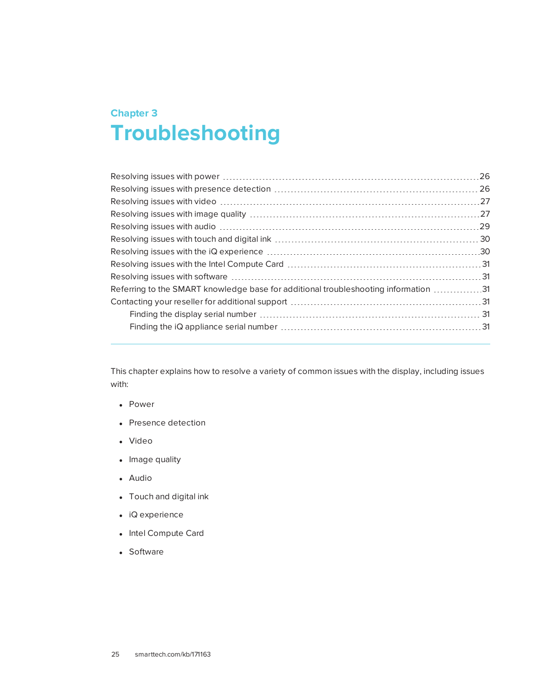## <span id="page-32-0"></span>**Chapter 3 Chapter 3: Troubleshooting**

| Resolving issues with presence detection …………………………………………………………… 26                 |  |
|-------------------------------------------------------------------------------------|--|
| Resolving issues with video ………………………………………………………………………………27                        |  |
|                                                                                     |  |
|                                                                                     |  |
|                                                                                     |  |
| Resolving issues with the iQ experience ………………………………………………………………30                  |  |
|                                                                                     |  |
|                                                                                     |  |
| Referring to the SMART knowledge base for additional troubleshooting information 31 |  |
|                                                                                     |  |
|                                                                                     |  |
|                                                                                     |  |
|                                                                                     |  |

This chapter explains how to resolve a variety of common issues with the display, including issues with:

- Power
- Presence detection
- Video
- Image quality
- Audio
- Touch and digital ink
- $\bullet$  iQ experience
- Intel Compute Card
- <span id="page-32-1"></span>• Software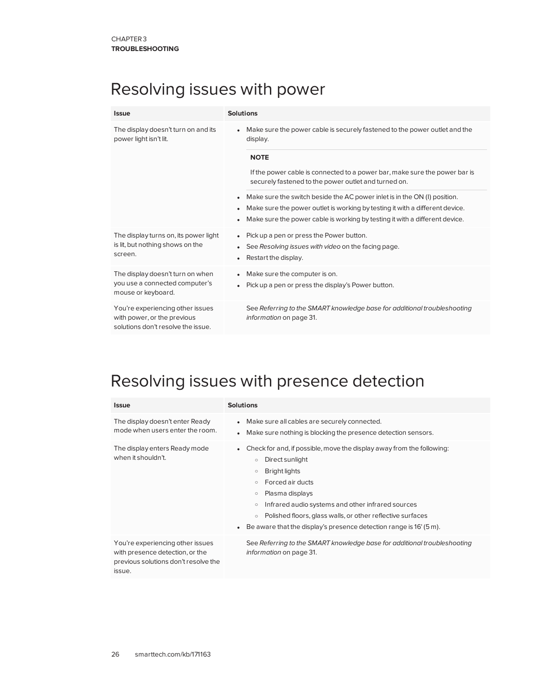## Resolving issues with power

| <b>Solutions</b>                                                                                                                                                                      |
|---------------------------------------------------------------------------------------------------------------------------------------------------------------------------------------|
| Make sure the power cable is securely fastened to the power outlet and the<br>$\bullet$<br>display.                                                                                   |
| <b>NOTE</b>                                                                                                                                                                           |
| If the power cable is connected to a power bar, make sure the power bar is<br>securely fastened to the power outlet and turned on.                                                    |
| Make sure the switch beside the AC power inlet is in the ON (I) position.<br>$\bullet$                                                                                                |
| Make sure the power outlet is working by testing it with a different device.<br>$\bullet$<br>Make sure the power cable is working by testing it with a different device.<br>$\bullet$ |
| Pick up a pen or press the Power button.<br>$\bullet$                                                                                                                                 |
| See Resolving issues with video on the facing page.<br>$\bullet$<br>Restart the display.<br>$\bullet$                                                                                 |
| Make sure the computer is on.<br>$\bullet$                                                                                                                                            |
| Pick up a pen or press the display's Power button.<br>$\bullet$                                                                                                                       |
| See Referring to the SMART knowledge base for additional troubleshooting<br>information on page 31.                                                                                   |
|                                                                                                                                                                                       |

## <span id="page-33-0"></span>Resolving issues with presence detection

| <b>Issue</b>                                                                                                          | <b>Solutions</b>                                                                                                                                                                                                                                                                                                                                                                                                                |
|-----------------------------------------------------------------------------------------------------------------------|---------------------------------------------------------------------------------------------------------------------------------------------------------------------------------------------------------------------------------------------------------------------------------------------------------------------------------------------------------------------------------------------------------------------------------|
| The display doesn't enter Ready<br>mode when users enter the room.                                                    | • Make sure all cables are securely connected.<br>Make sure nothing is blocking the presence detection sensors.<br>$\bullet$                                                                                                                                                                                                                                                                                                    |
| The display enters Ready mode<br>when it shouldn't.                                                                   | Check for and, if possible, move the display away from the following:<br>Direct sunlight<br>$\circ$<br><b>Bright lights</b><br>$\circ$<br>Forced air ducts<br>$\circ$<br>Plasma displays<br>$\circ$<br>Infrared audio systems and other infrared sources<br>$\circ$<br>Polished floors, glass walls, or other reflective surfaces<br>$\circ$<br>Be aware that the display's presence detection range is 16' (5 m).<br>$\bullet$ |
| You're experiencing other issues<br>with presence detection, or the<br>previous solutions don't resolve the<br>issue. | See Referring to the SMART knowledge base for additional troubleshooting<br><i>information</i> on page 31.                                                                                                                                                                                                                                                                                                                      |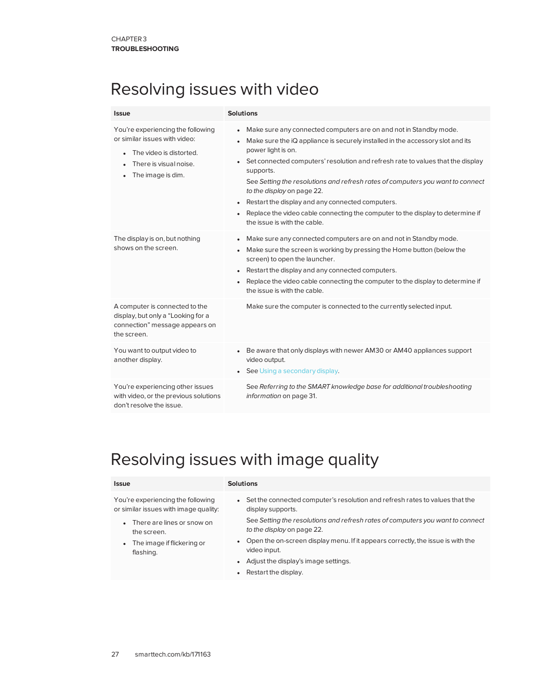## <span id="page-34-0"></span>Resolving issues with video

| Issue                                                                                                                                                     | <b>Solutions</b>                                                                                                                                                                                                                                                                                                                                                                                                                                                                                                                                                                                                                 |
|-----------------------------------------------------------------------------------------------------------------------------------------------------------|----------------------------------------------------------------------------------------------------------------------------------------------------------------------------------------------------------------------------------------------------------------------------------------------------------------------------------------------------------------------------------------------------------------------------------------------------------------------------------------------------------------------------------------------------------------------------------------------------------------------------------|
| You're experiencing the following<br>or similar issues with video:<br>The video is distorted.<br>$\bullet$<br>There is visual noise.<br>The image is dim. | Make sure any connected computers are on and not in Standby mode.<br>$\bullet$<br>Make sure the iQ appliance is securely installed in the accessory slot and its<br>$\bullet$<br>power light is on.<br>Set connected computers' resolution and refresh rate to values that the display<br>$\bullet$<br>supports.<br>See Setting the resolutions and refresh rates of computers you want to connect<br>to the display on page 22.<br>Restart the display and any connected computers.<br>$\bullet$<br>Replace the video cable connecting the computer to the display to determine if<br>$\bullet$<br>the issue is with the cable. |
| The display is on, but nothing<br>shows on the screen.                                                                                                    | Make sure any connected computers are on and not in Standby mode.<br>$\bullet$<br>Make sure the screen is working by pressing the Home button (below the<br>screen) to open the launcher.<br>Restart the display and any connected computers.<br>$\bullet$<br>Replace the video cable connecting the computer to the display to determine if<br>$\bullet$<br>the issue is with the cable.                                                                                                                                                                                                                                        |
| A computer is connected to the<br>display, but only a "Looking for a<br>connection" message appears on<br>the screen.                                     | Make sure the computer is connected to the currently selected input.                                                                                                                                                                                                                                                                                                                                                                                                                                                                                                                                                             |
| You want to output video to<br>another display.                                                                                                           | Be aware that only displays with newer AM30 or AM40 appliances support<br>video output.<br>See Using a secondary display.                                                                                                                                                                                                                                                                                                                                                                                                                                                                                                        |
| You're experiencing other issues<br>with video, or the previous solutions<br>don't resolve the issue.                                                     | See Referring to the SMART knowledge base for additional troubleshooting<br>information on page 31.                                                                                                                                                                                                                                                                                                                                                                                                                                                                                                                              |

## <span id="page-34-1"></span>Resolving issues with image quality

#### **Issue Solutions**

You're experiencing the following or similar issues with image quality:

- There are lines or snow on the screen.
- The image if flickering or flashing.
- Set the connected computer's resolution and refresh rates to values that the display supports.
	- See *Setting the [resolutions](#page-29-0) and refresh rates of computers you want to connect to the display* on [page 22](#page-29-0).
- Open the on-screen display menu. If it appears correctly, the issue is with the video input.
- Adjust the display's image settings.
- Restart the display.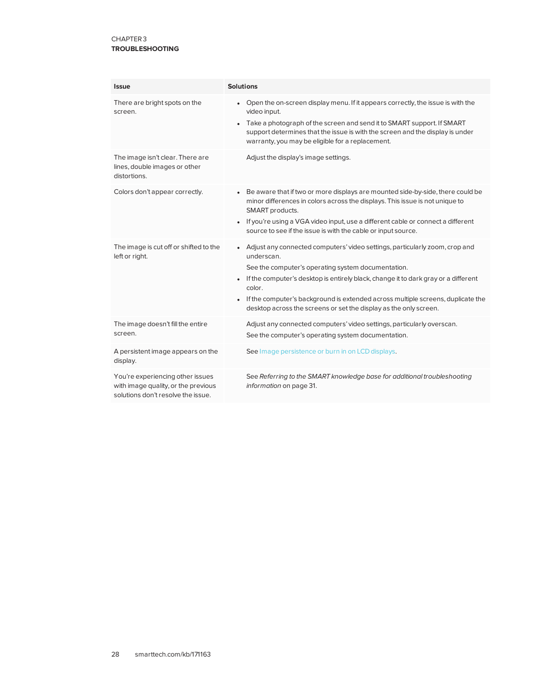<span id="page-35-0"></span>

| <b>Issue</b>                                                                                                  | <b>Solutions</b>                                                                                                                                                                                                                                                                                                                                                                                        |
|---------------------------------------------------------------------------------------------------------------|---------------------------------------------------------------------------------------------------------------------------------------------------------------------------------------------------------------------------------------------------------------------------------------------------------------------------------------------------------------------------------------------------------|
| There are bright spots on the<br>screen.                                                                      | Open the on-screen display menu. If it appears correctly, the issue is with the<br>video input.<br>Take a photograph of the screen and send it to SMART support. If SMART<br>$\bullet$<br>support determines that the issue is with the screen and the display is under<br>warranty, you may be eligible for a replacement.                                                                             |
| The image isn't clear. There are<br>lines, double images or other<br>distortions.                             | Adjust the display's image settings.                                                                                                                                                                                                                                                                                                                                                                    |
| Colors don't appear correctly.                                                                                | Be aware that if two or more displays are mounted side-by-side, there could be<br>$\bullet$<br>minor differences in colors across the displays. This issue is not unique to<br>SMART products.<br>If you're using a VGA video input, use a different cable or connect a different<br>source to see if the issue is with the cable or input source.                                                      |
| The image is cut off or shifted to the<br>left or right.                                                      | Adjust any connected computers' video settings, particularly zoom, crop and<br>underscan.<br>See the computer's operating system documentation.<br>If the computer's desktop is entirely black, change it to dark gray or a different<br>color.<br>If the computer's background is extended across multiple screens, duplicate the<br>desktop across the screens or set the display as the only screen. |
| The image doesn't fill the entire<br>screen.                                                                  | Adjust any connected computers' video settings, particularly overscan.<br>See the computer's operating system documentation.                                                                                                                                                                                                                                                                            |
| A persistent image appears on the<br>display.                                                                 | See Image persistence or burn in on LCD displays.                                                                                                                                                                                                                                                                                                                                                       |
| You're experiencing other issues<br>with image quality, or the previous<br>solutions don't resolve the issue. | See Referring to the SMART knowledge base for additional troubleshooting<br>information on page 31.                                                                                                                                                                                                                                                                                                     |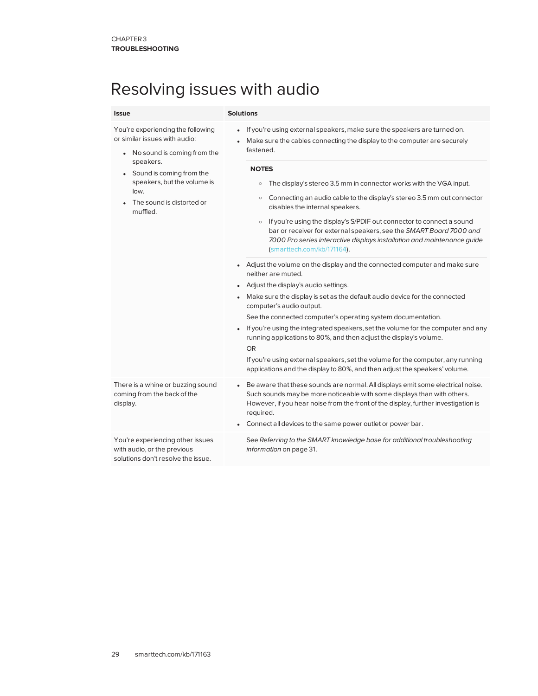## Resolving issues with audio

<span id="page-36-0"></span>

| <b>Issue</b>                                                                                                                                                                                                                              | <b>Solutions</b>                                                                                                                                                                                                                                                                                                                                                                                                                                                                                                                                                                                                                                                                                                                                                                                                                                                                                                                                                                                                                                                                                                                                                                                                                                                                                                                      |
|-------------------------------------------------------------------------------------------------------------------------------------------------------------------------------------------------------------------------------------------|---------------------------------------------------------------------------------------------------------------------------------------------------------------------------------------------------------------------------------------------------------------------------------------------------------------------------------------------------------------------------------------------------------------------------------------------------------------------------------------------------------------------------------------------------------------------------------------------------------------------------------------------------------------------------------------------------------------------------------------------------------------------------------------------------------------------------------------------------------------------------------------------------------------------------------------------------------------------------------------------------------------------------------------------------------------------------------------------------------------------------------------------------------------------------------------------------------------------------------------------------------------------------------------------------------------------------------------|
| You're experiencing the following<br>or similar issues with audio:<br>• No sound is coming from the<br>speakers.<br>Sound is coming from the<br>$\bullet$<br>speakers, but the volume is<br>low.<br>The sound is distorted or<br>muffled. | If you're using external speakers, make sure the speakers are turned on.<br>Make sure the cables connecting the display to the computer are securely<br>fastened.<br><b>NOTES</b><br>The display's stereo 3.5 mm in connector works with the VGA input.<br>$\circ$<br>Connecting an audio cable to the display's stereo 3.5 mm out connector<br>$\circ$<br>disables the internal speakers.<br>• If you're using the display's S/PDIF out connector to connect a sound<br>bar or receiver for external speakers, see the SMART Board 7000 and<br>7000 Pro series interactive displays installation and maintenance guide<br>(smarttech.com/kb/171164).<br>• Adjust the volume on the display and the connected computer and make sure<br>neither are muted.<br>• Adjust the display's audio settings.<br>Make sure the display is set as the default audio device for the connected<br>$\bullet$<br>computer's audio output.<br>See the connected computer's operating system documentation.<br>• If you're using the integrated speakers, set the volume for the computer and any<br>running applications to 80%, and then adjust the display's volume.<br><b>OR</b><br>If you're using external speakers, set the volume for the computer, any running<br>applications and the display to 80%, and then adjust the speakers' volume. |
| There is a whine or buzzing sound<br>coming from the back of the<br>display.                                                                                                                                                              | • Be aware that these sounds are normal. All displays emit some electrical noise.<br>Such sounds may be more noticeable with some displays than with others.<br>However, if you hear noise from the front of the display, further investigation is<br>required.<br>Connect all devices to the same power outlet or power bar.                                                                                                                                                                                                                                                                                                                                                                                                                                                                                                                                                                                                                                                                                                                                                                                                                                                                                                                                                                                                         |
| You're experiencing other issues<br>with audio, or the previous<br>solutions don't resolve the issue.                                                                                                                                     | See Referring to the SMART knowledge base for additional troubleshooting<br>information on page 31.                                                                                                                                                                                                                                                                                                                                                                                                                                                                                                                                                                                                                                                                                                                                                                                                                                                                                                                                                                                                                                                                                                                                                                                                                                   |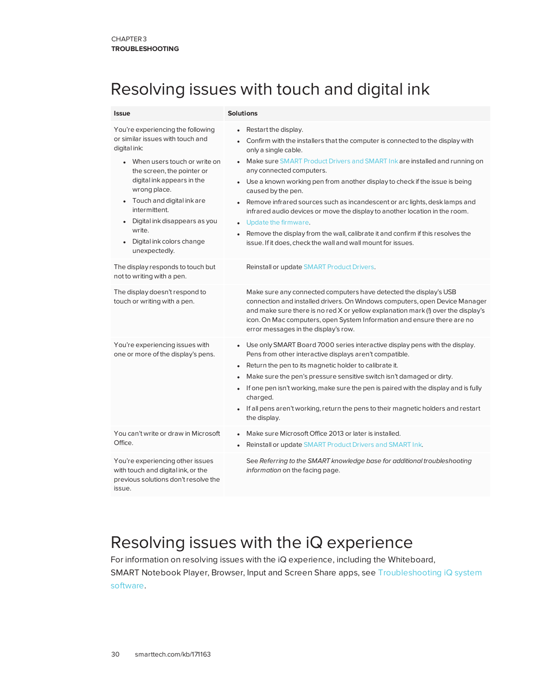## Resolving issues with touch and digital ink

| <b>Issue</b>                                                                                                                                                                                                                                                                                                                                                                    | <b>Solutions</b>                                                                                                                                                                                                                                                                                                                                                                                                                                                                                                                                                                                                                                                                                  |
|---------------------------------------------------------------------------------------------------------------------------------------------------------------------------------------------------------------------------------------------------------------------------------------------------------------------------------------------------------------------------------|---------------------------------------------------------------------------------------------------------------------------------------------------------------------------------------------------------------------------------------------------------------------------------------------------------------------------------------------------------------------------------------------------------------------------------------------------------------------------------------------------------------------------------------------------------------------------------------------------------------------------------------------------------------------------------------------------|
| You're experiencing the following<br>or similar issues with touch and<br>digital ink:<br>When users touch or write on<br>the screen, the pointer or<br>digital ink appears in the<br>wrong place.<br>Touch and digital ink are<br>$\bullet$<br>intermittent.<br>Digital ink disappears as you<br>$\bullet$<br>write.<br>Digital ink colors change<br>$\bullet$<br>unexpectedly. | Restart the display.<br>• Confirm with the installers that the computer is connected to the display with<br>only a single cable.<br>• Make sure SMART Product Drivers and SMART Ink are installed and running on<br>any connected computers.<br>• Use a known working pen from another display to check if the issue is being<br>caused by the pen.<br>• Remove infrared sources such as incandescent or arc lights, desk lamps and<br>infrared audio devices or move the display to another location in the room.<br>• Update the firmware.<br>• Remove the display from the wall, calibrate it and confirm if this resolves the<br>issue. If it does, check the wall and wall mount for issues. |
| The display responds to touch but<br>not to writing with a pen.                                                                                                                                                                                                                                                                                                                 | Reinstall or update SMART Product Drivers.                                                                                                                                                                                                                                                                                                                                                                                                                                                                                                                                                                                                                                                        |
| The display doesn't respond to<br>touch or writing with a pen.                                                                                                                                                                                                                                                                                                                  | Make sure any connected computers have detected the display's USB<br>connection and installed drivers. On Windows computers, open Device Manager<br>and make sure there is no red X or yellow explanation mark (!) over the display's<br>icon. On Mac computers, open System Information and ensure there are no<br>error messages in the display's row.                                                                                                                                                                                                                                                                                                                                          |
| You're experiencing issues with<br>one or more of the display's pens.                                                                                                                                                                                                                                                                                                           | • Use only SMART Board 7000 series interactive display pens with the display.<br>Pens from other interactive displays aren't compatible.<br>• Return the pen to its magnetic holder to calibrate it.<br>Make sure the pen's pressure sensitive switch isn't damaged or dirty.<br>• If one pen isn't working, make sure the pen is paired with the display and is fully<br>charged.<br>• If all pens aren't working, return the pens to their magnetic holders and restart<br>the display.                                                                                                                                                                                                         |
| You can't write or draw in Microsoft<br>Office.                                                                                                                                                                                                                                                                                                                                 | Make sure Microsoft Office 2013 or later is installed.<br>Reinstall or update SMART Product Drivers and SMART Ink.                                                                                                                                                                                                                                                                                                                                                                                                                                                                                                                                                                                |
| You're experiencing other issues<br>with touch and digital ink, or the<br>previous solutions don't resolve the<br>issue.                                                                                                                                                                                                                                                        | See Referring to the SMART knowledge base for additional troubleshooting<br>information on the facing page.                                                                                                                                                                                                                                                                                                                                                                                                                                                                                                                                                                                       |

## <span id="page-37-0"></span>Resolving issues with the iQ experience

<span id="page-37-1"></span>For information on resolving issues with the iQ experience, including the Whiteboard, SMART Notebook Player, Browser, Input and Screen Share apps, see [Troubleshooting](https://support.smarttech.com/docs/redirect/?product=iq&context=troubleshooting) iQ system [software](https://support.smarttech.com/docs/redirect/?product=iq&context=troubleshooting).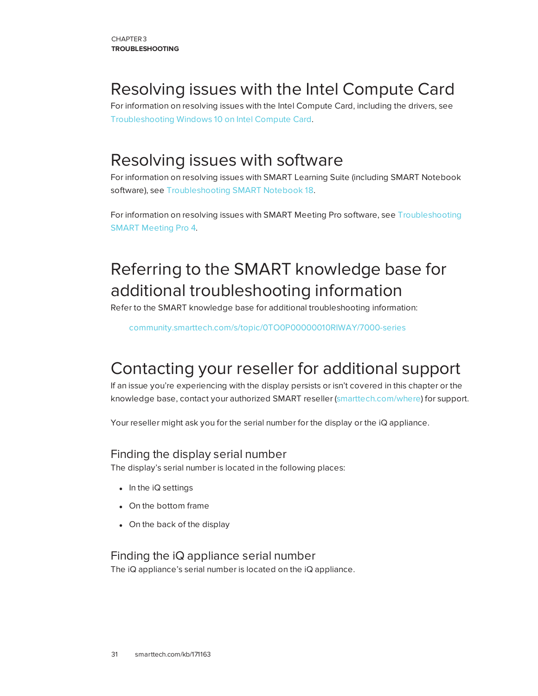## Resolving issues with the Intel Compute Card

<span id="page-38-0"></span>For information on resolving issues with the Intel Compute Card, including the drivers, see [Troubleshooting](https://support.smarttech.com/docs/redirect/?product=iq&context=windowscomputercard) Windows 10 on Intel Compute Card.

## Resolving issues with software

For information on resolving issues with SMART Learning Suite (including SMART Notebook software), see Troubleshooting [SMART Notebook](https://support.smarttech.com/docs/software/notebook/notebook-18/en/troubleshooting/troubleshooting) 18.

<span id="page-38-1"></span>For information on resolving issues with SMART Meeting Pro software, see [Troubleshooting](https://support.smarttech.com/docs/software/meetingpro/meetingpro-4/en/troubleshooting/default.cshtml) [SMART Meeting Pro](https://support.smarttech.com/docs/software/meetingpro/meetingpro-4/en/troubleshooting/default.cshtml) 4.

## Referring to the SMART knowledge base for additional troubleshooting information

Refer to the SMART knowledge base for additional troubleshooting information:

[community.smarttech.com/s/topic/0TO0P00000010RIWAY/7000-series](https://community.smarttech.com/s/topic/0TO0P00000010RIWAY/7000-series)

## <span id="page-38-2"></span>Contacting your reseller for additional support

If an issue you're experiencing with the display persists or isn't covered in this chapter or the knowledge base, contact your authorized SMART reseller [\(smarttech.com/where](http://www.smarttech.com/where)) for support.

<span id="page-38-3"></span>Your reseller might ask you for the serial number for the display or the iQ appliance.

### Finding the display serial number

The display's serial number is located in the following places:

- $\bullet$  In the iQ settings
- On the bottom frame
- <span id="page-38-4"></span>• On the back of the display

### Finding the iQ appliance serial number

The iQ appliance's serial number is located on the iQ appliance.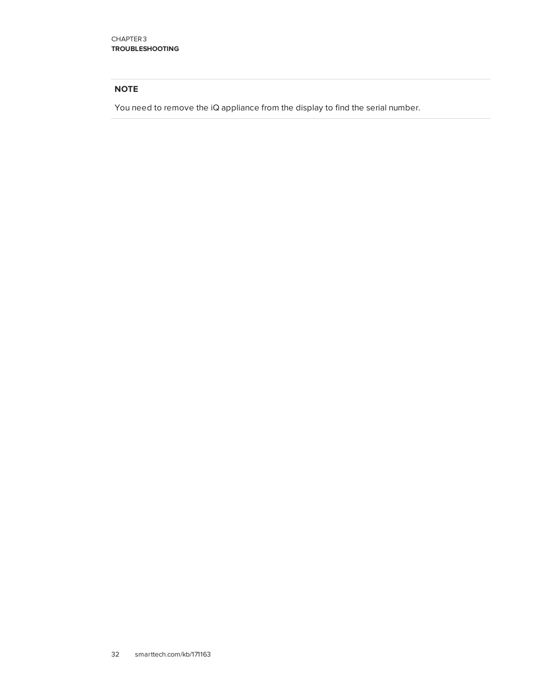#### **NOTE**

You need to remove the iQ appliance from the display to find the serial number.